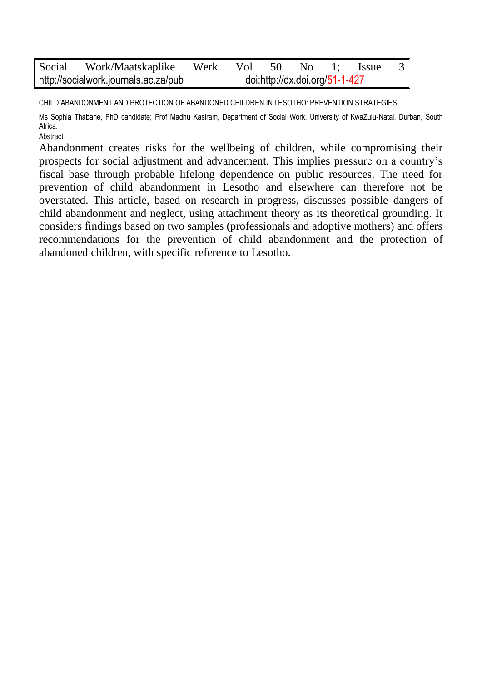|                                      | Social Work/Maatskaplike Werk Vol 50 No 1; Issue 3 |                                |  |  |  |  |  |  |
|--------------------------------------|----------------------------------------------------|--------------------------------|--|--|--|--|--|--|
| http://socialwork.journals.ac.za/pub |                                                    | doi:http://dx.doi.org/51-1-427 |  |  |  |  |  |  |

CHILD ABANDONMENT AND PROTECTION OF ABANDONED CHILDREN IN LESOTHO: PREVENTION STRATEGIES

Ms Sophia Thabane, PhD candidate; Prof Madhu Kasiram, Department of Social Work, University of KwaZulu-Natal, Durban, South Africa. **Abstract** 

Abandonment creates risks for the wellbeing of children, while compromising their prospects for social adjustment and advancement. This implies pressure on a country's fiscal base through probable lifelong dependence on public resources. The need for prevention of child abandonment in Lesotho and elsewhere can therefore not be overstated. This article, based on research in progress, discusses possible dangers of child abandonment and neglect, using attachment theory as its theoretical grounding. It considers findings based on two samples (professionals and adoptive mothers) and offers recommendations for the prevention of child abandonment and the protection of abandoned children, with specific reference to Lesotho.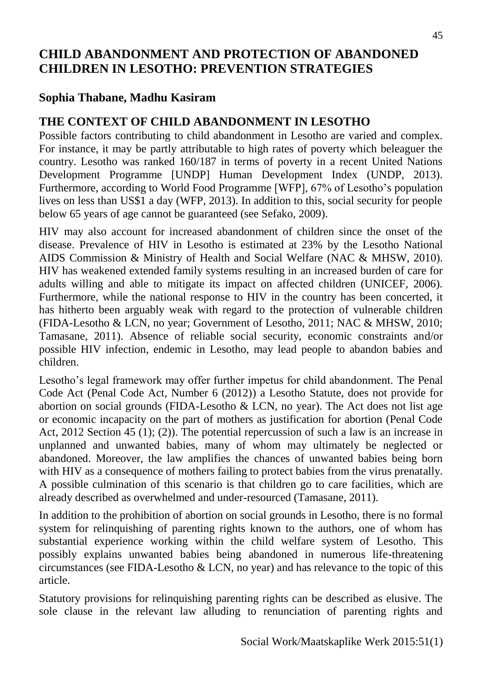# **CHILD ABANDONMENT AND PROTECTION OF ABANDONED CHILDREN IN LESOTHO: PREVENTION STRATEGIES**

# **Sophia Thabane, Madhu Kasiram**

# **THE CONTEXT OF CHILD ABANDONMENT IN LESOTHO**

Possible factors contributing to child abandonment in Lesotho are varied and complex. For instance, it may be partly attributable to high rates of poverty which beleaguer the country. Lesotho was ranked 160/187 in terms of poverty in a recent United Nations Development Programme [UNDP] Human Development Index (UNDP, 2013). Furthermore, according to World Food Programme [WFP], 67% of Lesotho's population lives on less than US\$1 a day (WFP, 2013). In addition to this, social security for people below 65 years of age cannot be guaranteed (see Sefako, 2009).

HIV may also account for increased abandonment of children since the onset of the disease. Prevalence of HIV in Lesotho is estimated at 23% by the Lesotho National AIDS Commission & Ministry of Health and Social Welfare (NAC & MHSW, 2010). HIV has weakened extended family systems resulting in an increased burden of care for adults willing and able to mitigate its impact on affected children (UNICEF, 2006). Furthermore, while the national response to HIV in the country has been concerted, it has hitherto been arguably weak with regard to the protection of vulnerable children (FIDA-Lesotho & LCN, no year; Government of Lesotho, 2011; NAC & MHSW, 2010; Tamasane, 2011). Absence of reliable social security, economic constraints and/or possible HIV infection, endemic in Lesotho, may lead people to abandon babies and children.

Lesotho's legal framework may offer further impetus for child abandonment. The Penal Code Act (Penal Code Act, Number 6 (2012)) a Lesotho Statute, does not provide for abortion on social grounds (FIDA-Lesotho & LCN, no year). The Act does not list age or economic incapacity on the part of mothers as justification for abortion (Penal Code Act, 2012 Section 45 (1); (2)). The potential repercussion of such a law is an increase in unplanned and unwanted babies, many of whom may ultimately be neglected or abandoned. Moreover, the law amplifies the chances of unwanted babies being born with HIV as a consequence of mothers failing to protect babies from the virus prenatally. A possible culmination of this scenario is that children go to care facilities, which are already described as overwhelmed and under-resourced (Tamasane, 2011).

In addition to the prohibition of abortion on social grounds in Lesotho, there is no formal system for relinquishing of parenting rights known to the authors, one of whom has substantial experience working within the child welfare system of Lesotho. This possibly explains unwanted babies being abandoned in numerous life-threatening circumstances (see FIDA-Lesotho & LCN, no year) and has relevance to the topic of this article.

Statutory provisions for relinquishing parenting rights can be described as elusive. The sole clause in the relevant law alluding to renunciation of parenting rights and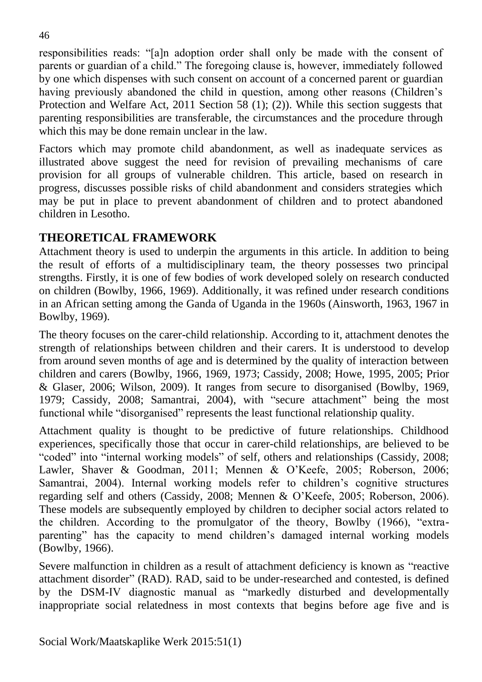responsibilities reads: "[a]n adoption order shall only be made with the consent of parents or guardian of a child." The foregoing clause is, however, immediately followed by one which dispenses with such consent on account of a concerned parent or guardian having previously abandoned the child in question, among other reasons (Children's Protection and Welfare Act, 2011 Section 58 (1); (2)). While this section suggests that parenting responsibilities are transferable, the circumstances and the procedure through which this may be done remain unclear in the law.

Factors which may promote child abandonment, as well as inadequate services as illustrated above suggest the need for revision of prevailing mechanisms of care provision for all groups of vulnerable children. This article, based on research in progress, discusses possible risks of child abandonment and considers strategies which may be put in place to prevent abandonment of children and to protect abandoned children in Lesotho.

# **THEORETICAL FRAMEWORK**

Attachment theory is used to underpin the arguments in this article. In addition to being the result of efforts of a multidisciplinary team, the theory possesses two principal strengths. Firstly, it is one of few bodies of work developed solely on research conducted on children (Bowlby, 1966, 1969). Additionally, it was refined under research conditions in an African setting among the Ganda of Uganda in the 1960s (Ainsworth, 1963, 1967 in Bowlby, 1969).

The theory focuses on the carer-child relationship. According to it, attachment denotes the strength of relationships between children and their carers. It is understood to develop from around seven months of age and is determined by the quality of interaction between children and carers (Bowlby, 1966, 1969, 1973; Cassidy, 2008; Howe, 1995, 2005; Prior & Glaser, 2006; Wilson, 2009). It ranges from secure to disorganised (Bowlby, 1969, 1979; Cassidy, 2008; Samantrai, 2004), with "secure attachment" being the most functional while "disorganised" represents the least functional relationship quality.

Attachment quality is thought to be predictive of future relationships. Childhood experiences, specifically those that occur in carer-child relationships, are believed to be "coded" into "internal working models" of self, others and relationships (Cassidy, 2008; Lawler, Shaver & Goodman, 2011; Mennen & O'Keefe, 2005; Roberson, 2006; Samantrai, 2004). Internal working models refer to children's cognitive structures regarding self and others (Cassidy, 2008; Mennen & O'Keefe, 2005; Roberson, 2006). These models are subsequently employed by children to decipher social actors related to the children. According to the promulgator of the theory, Bowlby (1966), "extraparenting" has the capacity to mend children's damaged internal working models (Bowlby, 1966).

Severe malfunction in children as a result of attachment deficiency is known as "reactive attachment disorder" (RAD). RAD, said to be under-researched and contested, is defined by the DSM-IV diagnostic manual as "markedly disturbed and developmentally inappropriate social relatedness in most contexts that begins before age five and is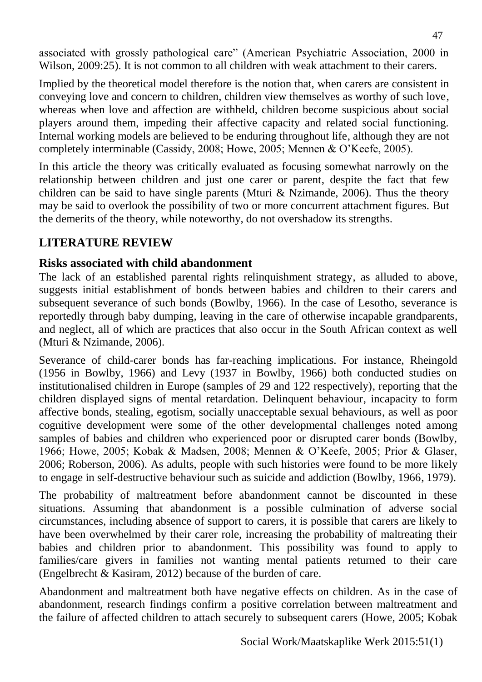associated with grossly pathological care" (American Psychiatric Association, 2000 in Wilson, 2009:25). It is not common to all children with weak attachment to their carers.

Implied by the theoretical model therefore is the notion that, when carers are consistent in conveying love and concern to children, children view themselves as worthy of such love, whereas when love and affection are withheld, children become suspicious about social players around them, impeding their affective capacity and related social functioning. Internal working models are believed to be enduring throughout life, although they are not completely interminable (Cassidy, 2008; Howe, 2005; Mennen & O'Keefe, 2005).

In this article the theory was critically evaluated as focusing somewhat narrowly on the relationship between children and just one carer or parent, despite the fact that few children can be said to have single parents (Mturi & Nzimande, 2006). Thus the theory may be said to overlook the possibility of two or more concurrent attachment figures. But the demerits of the theory, while noteworthy, do not overshadow its strengths.

# **LITERATURE REVIEW**

### **Risks associated with child abandonment**

The lack of an established parental rights relinquishment strategy, as alluded to above, suggests initial establishment of bonds between babies and children to their carers and subsequent severance of such bonds (Bowlby, 1966). In the case of Lesotho, severance is reportedly through baby dumping, leaving in the care of otherwise incapable grandparents, and neglect, all of which are practices that also occur in the South African context as well (Mturi & Nzimande, 2006).

Severance of child-carer bonds has far-reaching implications. For instance, Rheingold (1956 in Bowlby, 1966) and Levy (1937 in Bowlby, 1966) both conducted studies on institutionalised children in Europe (samples of 29 and 122 respectively), reporting that the children displayed signs of mental retardation. Delinquent behaviour, incapacity to form affective bonds, stealing, egotism, socially unacceptable sexual behaviours, as well as poor cognitive development were some of the other developmental challenges noted among samples of babies and children who experienced poor or disrupted carer bonds (Bowlby, 1966; Howe, 2005; Kobak & Madsen, 2008; Mennen & O'Keefe, 2005; Prior & Glaser, 2006; Roberson, 2006). As adults, people with such histories were found to be more likely to engage in self-destructive behaviour such as suicide and addiction (Bowlby, 1966, 1979).

The probability of maltreatment before abandonment cannot be discounted in these situations. Assuming that abandonment is a possible culmination of adverse social circumstances, including absence of support to carers, it is possible that carers are likely to have been overwhelmed by their carer role, increasing the probability of maltreating their babies and children prior to abandonment. This possibility was found to apply to families/care givers in families not wanting mental patients returned to their care (Engelbrecht & Kasiram, 2012) because of the burden of care.

Abandonment and maltreatment both have negative effects on children. As in the case of abandonment, research findings confirm a positive correlation between maltreatment and the failure of affected children to attach securely to subsequent carers (Howe, 2005; Kobak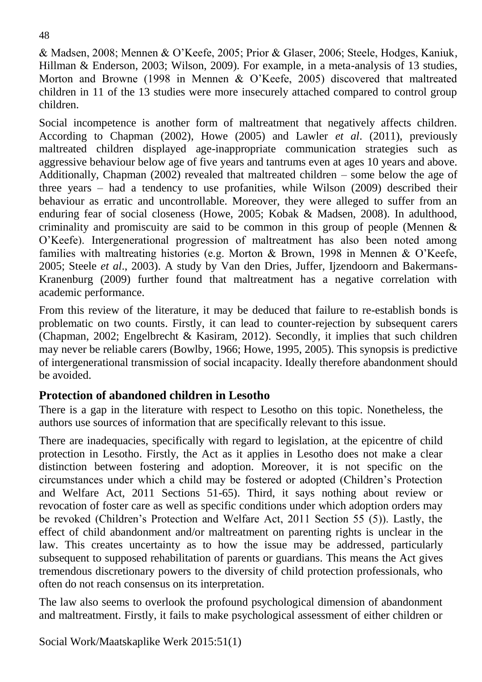& Madsen, 2008; Mennen & O'Keefe, 2005; Prior & Glaser, 2006; Steele, Hodges, Kaniuk, Hillman & Enderson, 2003; Wilson, 2009). For example, in a meta-analysis of 13 studies, Morton and Browne (1998 in Mennen & O'Keefe, 2005) discovered that maltreated children in 11 of the 13 studies were more insecurely attached compared to control group children.

Social incompetence is another form of maltreatment that negatively affects children. According to Chapman (2002), Howe (2005) and Lawler *et al*. (2011), previously maltreated children displayed age-inappropriate communication strategies such as aggressive behaviour below age of five years and tantrums even at ages 10 years and above. Additionally, Chapman (2002) revealed that maltreated children – some below the age of three years – had a tendency to use profanities, while Wilson (2009) described their behaviour as erratic and uncontrollable. Moreover, they were alleged to suffer from an enduring fear of social closeness (Howe, 2005; Kobak & Madsen, 2008). In adulthood, criminality and promiscuity are said to be common in this group of people (Mennen & O'Keefe). Intergenerational progression of maltreatment has also been noted among families with maltreating histories (e.g. Morton & Brown, 1998 in Mennen & O'Keefe, 2005; Steele *et al*., 2003). A study by Van den Dries, Juffer, Ijzendoorn and Bakermans-Kranenburg (2009) further found that maltreatment has a negative correlation with academic performance.

From this review of the literature, it may be deduced that failure to re-establish bonds is problematic on two counts. Firstly, it can lead to counter-rejection by subsequent carers (Chapman, 2002; Engelbrecht & Kasiram, 2012). Secondly, it implies that such children may never be reliable carers (Bowlby, 1966; Howe, 1995, 2005). This synopsis is predictive of intergenerational transmission of social incapacity. Ideally therefore abandonment should be avoided.

#### **Protection of abandoned children in Lesotho**

There is a gap in the literature with respect to Lesotho on this topic. Nonetheless, the authors use sources of information that are specifically relevant to this issue.

There are inadequacies, specifically with regard to legislation, at the epicentre of child protection in Lesotho. Firstly, the Act as it applies in Lesotho does not make a clear distinction between fostering and adoption. Moreover, it is not specific on the circumstances under which a child may be fostered or adopted (Children's Protection and Welfare Act, 2011 Sections 51-65). Third, it says nothing about review or revocation of foster care as well as specific conditions under which adoption orders may be revoked (Children's Protection and Welfare Act, 2011 Section 55 (5)). Lastly, the effect of child abandonment and/or maltreatment on parenting rights is unclear in the law. This creates uncertainty as to how the issue may be addressed, particularly subsequent to supposed rehabilitation of parents or guardians. This means the Act gives tremendous discretionary powers to the diversity of child protection professionals, who often do not reach consensus on its interpretation.

The law also seems to overlook the profound psychological dimension of abandonment and maltreatment. Firstly, it fails to make psychological assessment of either children or

Social Work/Maatskaplike Werk 2015:51(1)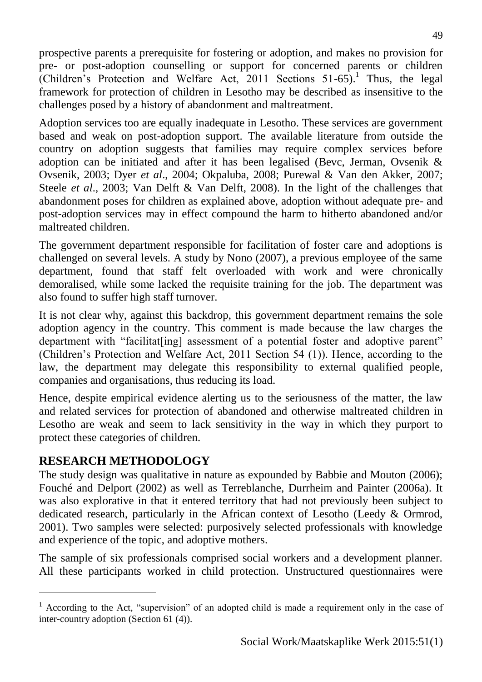prospective parents a prerequisite for fostering or adoption, and makes no provision for pre- or post-adoption counselling or support for concerned parents or children (Children's Protection and Welfare Act, 2011 Sections 51-65).<sup>1</sup> Thus, the legal framework for protection of children in Lesotho may be described as insensitive to the challenges posed by a history of abandonment and maltreatment.

Adoption services too are equally inadequate in Lesotho. These services are government based and weak on post-adoption support. The available literature from outside the country on adoption suggests that families may require complex services before adoption can be initiated and after it has been legalised (Bevc, Jerman, Ovsenik & Ovsenik, 2003; Dyer *et al*., 2004; Okpaluba, 2008; Purewal & Van den Akker, 2007; Steele *et al*., 2003; Van Delft & Van Delft, 2008). In the light of the challenges that abandonment poses for children as explained above, adoption without adequate pre- and post-adoption services may in effect compound the harm to hitherto abandoned and/or maltreated children.

The government department responsible for facilitation of foster care and adoptions is challenged on several levels. A study by Nono (2007), a previous employee of the same department, found that staff felt overloaded with work and were chronically demoralised, while some lacked the requisite training for the job. The department was also found to suffer high staff turnover.

It is not clear why, against this backdrop, this government department remains the sole adoption agency in the country. This comment is made because the law charges the department with "facilitat [ing] assessment of a potential foster and adoptive parent" (Children's Protection and Welfare Act, 2011 Section 54 (1)). Hence, according to the law, the department may delegate this responsibility to external qualified people, companies and organisations, thus reducing its load.

Hence, despite empirical evidence alerting us to the seriousness of the matter, the law and related services for protection of abandoned and otherwise maltreated children in Lesotho are weak and seem to lack sensitivity in the way in which they purport to protect these categories of children.

## **RESEARCH METHODOLOGY**

l

The study design was qualitative in nature as expounded by Babbie and Mouton (2006); Fouché and Delport (2002) as well as Terreblanche, Durrheim and Painter (2006a). It was also explorative in that it entered territory that had not previously been subject to dedicated research, particularly in the African context of Lesotho (Leedy & Ormrod, 2001). Two samples were selected: purposively selected professionals with knowledge and experience of the topic, and adoptive mothers.

The sample of six professionals comprised social workers and a development planner. All these participants worked in child protection. Unstructured questionnaires were

 $<sup>1</sup>$  According to the Act, "supervision" of an adopted child is made a requirement only in the case of</sup> inter-country adoption (Section 61 (4)).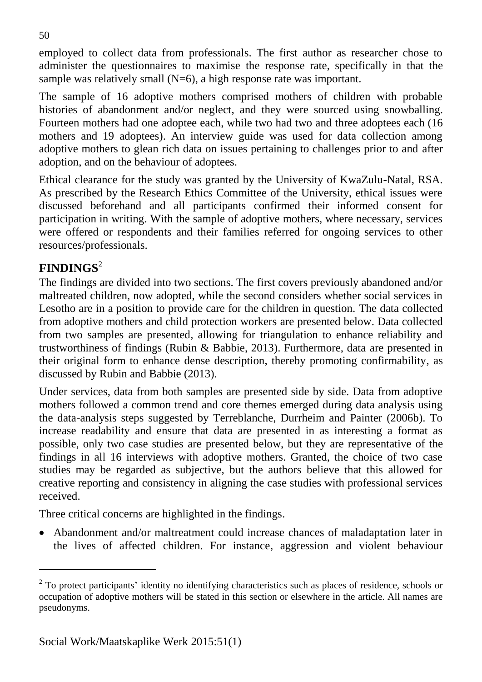employed to collect data from professionals. The first author as researcher chose to administer the questionnaires to maximise the response rate, specifically in that the sample was relatively small (N=6), a high response rate was important.

The sample of 16 adoptive mothers comprised mothers of children with probable histories of abandonment and/or neglect, and they were sourced using snowballing. Fourteen mothers had one adoptee each, while two had two and three adoptees each (16 mothers and 19 adoptees). An interview guide was used for data collection among adoptive mothers to glean rich data on issues pertaining to challenges prior to and after adoption, and on the behaviour of adoptees.

Ethical clearance for the study was granted by the University of KwaZulu-Natal, RSA. As prescribed by the Research Ethics Committee of the University, ethical issues were discussed beforehand and all participants confirmed their informed consent for participation in writing. With the sample of adoptive mothers, where necessary, services were offered or respondents and their families referred for ongoing services to other resources/professionals.

# **FINDINGS**<sup>2</sup>

 $\overline{a}$ 

The findings are divided into two sections. The first covers previously abandoned and/or maltreated children, now adopted, while the second considers whether social services in Lesotho are in a position to provide care for the children in question. The data collected from adoptive mothers and child protection workers are presented below. Data collected from two samples are presented, allowing for triangulation to enhance reliability and trustworthiness of findings (Rubin & Babbie, 2013). Furthermore, data are presented in their original form to enhance dense description, thereby promoting confirmability, as discussed by Rubin and Babbie (2013).

Under services, data from both samples are presented side by side. Data from adoptive mothers followed a common trend and core themes emerged during data analysis using the data-analysis steps suggested by Terreblanche, Durrheim and Painter (2006b). To increase readability and ensure that data are presented in as interesting a format as possible, only two case studies are presented below, but they are representative of the findings in all 16 interviews with adoptive mothers. Granted, the choice of two case studies may be regarded as subjective, but the authors believe that this allowed for creative reporting and consistency in aligning the case studies with professional services received.

Three critical concerns are highlighted in the findings.

 Abandonment and/or maltreatment could increase chances of maladaptation later in the lives of affected children. For instance, aggression and violent behaviour

 $2$  To protect participants' identity no identifying characteristics such as places of residence, schools or occupation of adoptive mothers will be stated in this section or elsewhere in the article. All names are pseudonyms.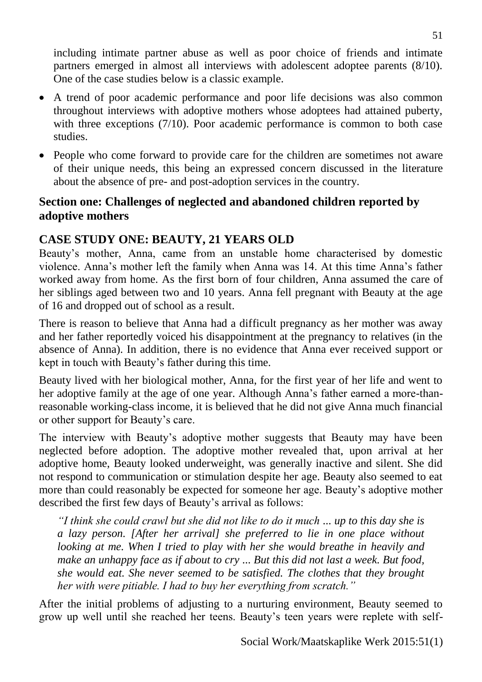including intimate partner abuse as well as poor choice of friends and intimate partners emerged in almost all interviews with adolescent adoptee parents (8/10). One of the case studies below is a classic example.

- A trend of poor academic performance and poor life decisions was also common throughout interviews with adoptive mothers whose adoptees had attained puberty, with three exceptions (7/10). Poor academic performance is common to both case studies.
- People who come forward to provide care for the children are sometimes not aware of their unique needs, this being an expressed concern discussed in the literature about the absence of pre- and post-adoption services in the country.

### **Section one: Challenges of neglected and abandoned children reported by adoptive mothers**

## **CASE STUDY ONE: BEAUTY, 21 YEARS OLD**

Beauty's mother, Anna, came from an unstable home characterised by domestic violence. Anna's mother left the family when Anna was 14. At this time Anna's father worked away from home. As the first born of four children, Anna assumed the care of her siblings aged between two and 10 years. Anna fell pregnant with Beauty at the age of 16 and dropped out of school as a result.

There is reason to believe that Anna had a difficult pregnancy as her mother was away and her father reportedly voiced his disappointment at the pregnancy to relatives (in the absence of Anna). In addition, there is no evidence that Anna ever received support or kept in touch with Beauty's father during this time.

Beauty lived with her biological mother, Anna, for the first year of her life and went to her adoptive family at the age of one year. Although Anna's father earned a more-thanreasonable working-class income, it is believed that he did not give Anna much financial or other support for Beauty's care.

The interview with Beauty's adoptive mother suggests that Beauty may have been neglected before adoption. The adoptive mother revealed that, upon arrival at her adoptive home, Beauty looked underweight, was generally inactive and silent. She did not respond to communication or stimulation despite her age. Beauty also seemed to eat more than could reasonably be expected for someone her age. Beauty's adoptive mother described the first few days of Beauty's arrival as follows:

*"I think she could crawl but she did not like to do it much ... up to this day she is a lazy person. [After her arrival] she preferred to lie in one place without looking at me. When I tried to play with her she would breathe in heavily and make an unhappy face as if about to cry ... But this did not last a week. But food, she would eat. She never seemed to be satisfied. The clothes that they brought her with were pitiable. I had to buy her everything from scratch."*

After the initial problems of adjusting to a nurturing environment, Beauty seemed to grow up well until she reached her teens. Beauty's teen years were replete with self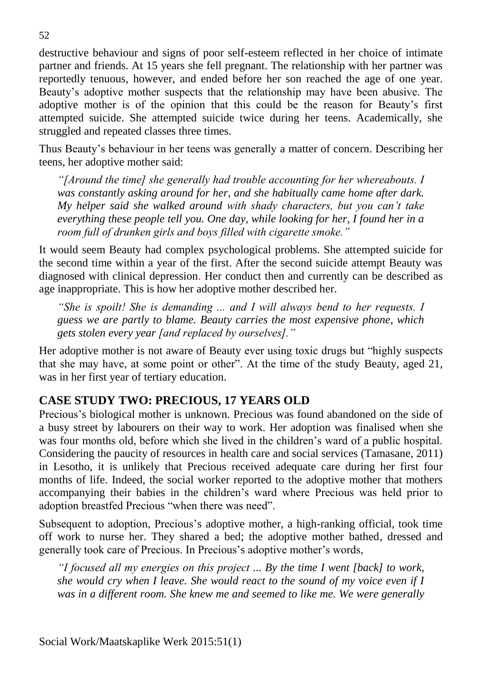destructive behaviour and signs of poor self-esteem reflected in her choice of intimate partner and friends. At 15 years she fell pregnant. The relationship with her partner was reportedly tenuous, however, and ended before her son reached the age of one year. Beauty's adoptive mother suspects that the relationship may have been abusive. The adoptive mother is of the opinion that this could be the reason for Beauty's first attempted suicide. She attempted suicide twice during her teens. Academically, she struggled and repeated classes three times.

Thus Beauty's behaviour in her teens was generally a matter of concern. Describing her teens, her adoptive mother said:

*"[Around the time] she generally had trouble accounting for her whereabouts. I was constantly asking around for her, and she habitually came home after dark. My helper said she walked around with shady characters, but you can't take everything these people tell you. One day, while looking for her, I found her in a room full of drunken girls and boys filled with cigarette smoke."* 

It would seem Beauty had complex psychological problems. She attempted suicide for the second time within a year of the first. After the second suicide attempt Beauty was diagnosed with clinical depression. Her conduct then and currently can be described as age inappropriate. This is how her adoptive mother described her.

*"She is spoilt! She is demanding ... and I will always bend to her requests. I guess we are partly to blame. Beauty carries the most expensive phone, which gets stolen every year [and replaced by ourselves]."*

Her adoptive mother is not aware of Beauty ever using toxic drugs but "highly suspects that she may have, at some point or other". At the time of the study Beauty, aged 21, was in her first year of tertiary education.

## **CASE STUDY TWO: PRECIOUS, 17 YEARS OLD**

Precious's biological mother is unknown. Precious was found abandoned on the side of a busy street by labourers on their way to work. Her adoption was finalised when she was four months old, before which she lived in the children's ward of a public hospital. Considering the paucity of resources in health care and social services (Tamasane, 2011) in Lesotho, it is unlikely that Precious received adequate care during her first four months of life. Indeed, the social worker reported to the adoptive mother that mothers accompanying their babies in the children's ward where Precious was held prior to adoption breastfed Precious "when there was need".

Subsequent to adoption, Precious's adoptive mother, a high-ranking official, took time off work to nurse her. They shared a bed; the adoptive mother bathed, dressed and generally took care of Precious. In Precious's adoptive mother's words,

*"I focused all my energies on this project ... By the time I went [back] to work, she would cry when I leave. She would react to the sound of my voice even if I was in a different room. She knew me and seemed to like me. We were generally*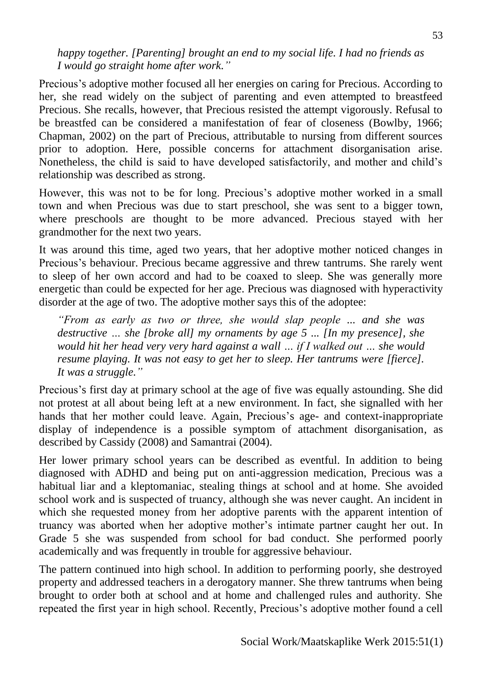*happy together. [Parenting] brought an end to my social life. I had no friends as I would go straight home after work."*

Precious's adoptive mother focused all her energies on caring for Precious. According to her, she read widely on the subject of parenting and even attempted to breastfeed Precious. She recalls, however, that Precious resisted the attempt vigorously. Refusal to be breastfed can be considered a manifestation of fear of closeness (Bowlby, 1966; Chapman, 2002) on the part of Precious, attributable to nursing from different sources prior to adoption. Here, possible concerns for attachment disorganisation arise. Nonetheless, the child is said to have developed satisfactorily, and mother and child's relationship was described as strong.

However, this was not to be for long. Precious's adoptive mother worked in a small town and when Precious was due to start preschool, she was sent to a bigger town, where preschools are thought to be more advanced. Precious stayed with her grandmother for the next two years.

It was around this time, aged two years, that her adoptive mother noticed changes in Precious's behaviour. Precious became aggressive and threw tantrums. She rarely went to sleep of her own accord and had to be coaxed to sleep. She was generally more energetic than could be expected for her age. Precious was diagnosed with hyperactivity disorder at the age of two. The adoptive mother says this of the adoptee:

*"From as early as two or three, she would slap people ... and she was destructive … she [broke all] my ornaments by age 5 ... [In my presence], she would hit her head very very hard against a wall … if I walked out … she would resume playing. It was not easy to get her to sleep. Her tantrums were [fierce]. It was a struggle."*

Precious's first day at primary school at the age of five was equally astounding. She did not protest at all about being left at a new environment. In fact, she signalled with her hands that her mother could leave. Again, Precious's age- and context-inappropriate display of independence is a possible symptom of attachment disorganisation, as described by Cassidy (2008) and Samantrai (2004).

Her lower primary school years can be described as eventful. In addition to being diagnosed with ADHD and being put on anti-aggression medication, Precious was a habitual liar and a kleptomaniac, stealing things at school and at home. She avoided school work and is suspected of truancy, although she was never caught. An incident in which she requested money from her adoptive parents with the apparent intention of truancy was aborted when her adoptive mother's intimate partner caught her out. In Grade 5 she was suspended from school for bad conduct. She performed poorly academically and was frequently in trouble for aggressive behaviour.

The pattern continued into high school. In addition to performing poorly, she destroyed property and addressed teachers in a derogatory manner. She threw tantrums when being brought to order both at school and at home and challenged rules and authority. She repeated the first year in high school. Recently, Precious's adoptive mother found a cell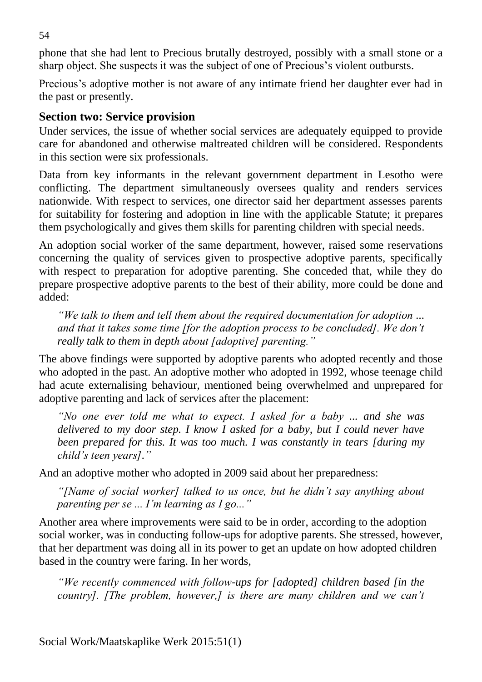phone that she had lent to Precious brutally destroyed, possibly with a small stone or a sharp object. She suspects it was the subject of one of Precious's violent outbursts.

Precious's adoptive mother is not aware of any intimate friend her daughter ever had in the past or presently.

### **Section two: Service provision**

Under services, the issue of whether social services are adequately equipped to provide care for abandoned and otherwise maltreated children will be considered. Respondents in this section were six professionals.

Data from key informants in the relevant government department in Lesotho were conflicting. The department simultaneously oversees quality and renders services nationwide. With respect to services, one director said her department assesses parents for suitability for fostering and adoption in line with the applicable Statute; it prepares them psychologically and gives them skills for parenting children with special needs.

An adoption social worker of the same department, however, raised some reservations concerning the quality of services given to prospective adoptive parents, specifically with respect to preparation for adoptive parenting. She conceded that, while they do prepare prospective adoptive parents to the best of their ability, more could be done and added:

*"We talk to them and tell them about the required documentation for adoption ... and that it takes some time [for the adoption process to be concluded]. We don't really talk to them in depth about [adoptive] parenting."*

The above findings were supported by adoptive parents who adopted recently and those who adopted in the past. An adoptive mother who adopted in 1992, whose teenage child had acute externalising behaviour, mentioned being overwhelmed and unprepared for adoptive parenting and lack of services after the placement:

*"No one ever told me what to expect. I asked for a baby ... and she was delivered to my door step. I know I asked for a baby, but I could never have been prepared for this. It was too much. I was constantly in tears [during my child's teen years]."*

And an adoptive mother who adopted in 2009 said about her preparedness:

*"[Name of social worker] talked to us once, but he didn't say anything about parenting per se ... I'm learning as I go..."* 

Another area where improvements were said to be in order, according to the adoption social worker, was in conducting follow-ups for adoptive parents. She stressed, however, that her department was doing all in its power to get an update on how adopted children based in the country were faring. In her words,

*"We recently commenced with follow-ups for [adopted] children based [in the country]. [The problem, however,] is there are many children and we can't* 

54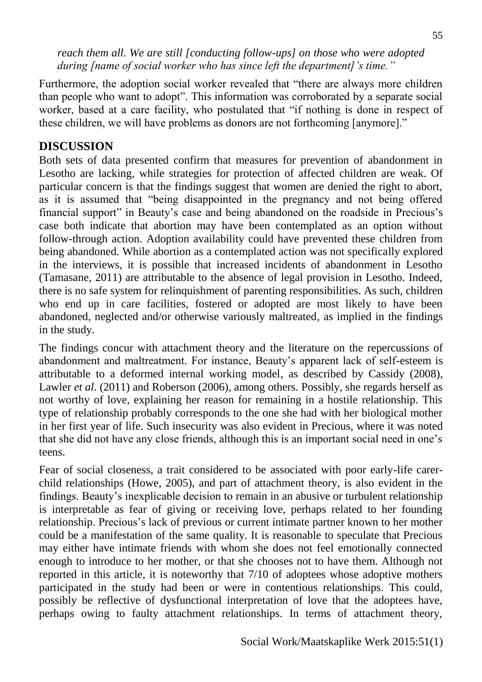*reach them all. We are still [conducting follow-ups] on those who were adopted during [name of social worker who has since left the department]'s time."*

Furthermore, the adoption social worker revealed that "there are always more children than people who want to adopt". This information was corroborated by a separate social worker, based at a care facility, who postulated that "if nothing is done in respect of these children, we will have problems as donors are not forthcoming [anymore]."

### **DISCUSSION**

Both sets of data presented confirm that measures for prevention of abandonment in Lesotho are lacking, while strategies for protection of affected children are weak. Of particular concern is that the findings suggest that women are denied the right to abort, as it is assumed that "being disappointed in the pregnancy and not being offered financial support" in Beauty's case and being abandoned on the roadside in Precious's case both indicate that abortion may have been contemplated as an option without follow-through action. Adoption availability could have prevented these children from being abandoned. While abortion as a contemplated action was not specifically explored in the interviews, it is possible that increased incidents of abandonment in Lesotho (Tamasane, 2011) are attributable to the absence of legal provision in Lesotho. Indeed, there is no safe system for relinquishment of parenting responsibilities. As such, children who end up in care facilities, fostered or adopted are most likely to have been abandoned, neglected and/or otherwise variously maltreated, as implied in the findings in the study.

The findings concur with attachment theory and the literature on the repercussions of abandonment and maltreatment. For instance, Beauty's apparent lack of self-esteem is attributable to a deformed internal working model, as described by Cassidy (2008), Lawler *et al*. (2011) and Roberson (2006), among others. Possibly, she regards herself as not worthy of love, explaining her reason for remaining in a hostile relationship. This type of relationship probably corresponds to the one she had with her biological mother in her first year of life. Such insecurity was also evident in Precious, where it was noted that she did not have any close friends, although this is an important social need in one's teens.

Fear of social closeness, a trait considered to be associated with poor early-life carerchild relationships (Howe, 2005), and part of attachment theory, is also evident in the findings. Beauty's inexplicable decision to remain in an abusive or turbulent relationship is interpretable as fear of giving or receiving love, perhaps related to her founding relationship. Precious's lack of previous or current intimate partner known to her mother could be a manifestation of the same quality. It is reasonable to speculate that Precious may either have intimate friends with whom she does not feel emotionally connected enough to introduce to her mother, or that she chooses not to have them. Although not reported in this article, it is noteworthy that 7/10 of adoptees whose adoptive mothers participated in the study had been or were in contentious relationships. This could, possibly be reflective of dysfunctional interpretation of love that the adoptees have, perhaps owing to faulty attachment relationships. In terms of attachment theory,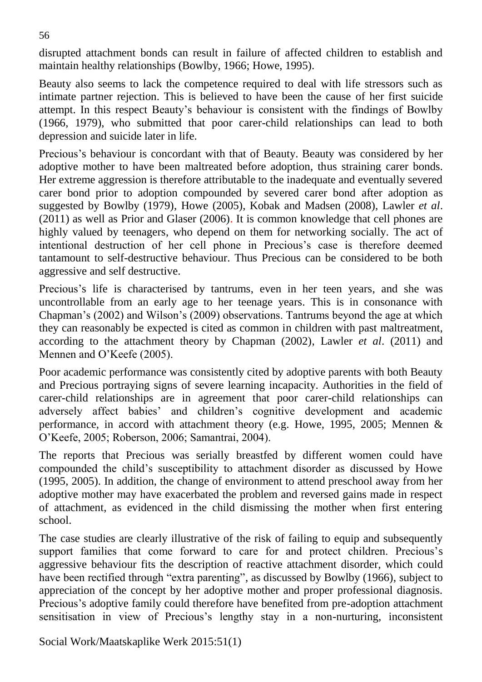disrupted attachment bonds can result in failure of affected children to establish and maintain healthy relationships (Bowlby, 1966; Howe, 1995).

Beauty also seems to lack the competence required to deal with life stressors such as intimate partner rejection. This is believed to have been the cause of her first suicide attempt. In this respect Beauty's behaviour is consistent with the findings of Bowlby (1966, 1979), who submitted that poor carer-child relationships can lead to both depression and suicide later in life.

Precious's behaviour is concordant with that of Beauty. Beauty was considered by her adoptive mother to have been maltreated before adoption, thus straining carer bonds. Her extreme aggression is therefore attributable to the inadequate and eventually severed carer bond prior to adoption compounded by severed carer bond after adoption as suggested by Bowlby (1979), Howe (2005), Kobak and Madsen (2008), Lawler *et al*. (2011) as well as Prior and Glaser (2006). It is common knowledge that cell phones are highly valued by teenagers, who depend on them for networking socially. The act of intentional destruction of her cell phone in Precious's case is therefore deemed tantamount to self-destructive behaviour. Thus Precious can be considered to be both aggressive and self destructive.

Precious's life is characterised by tantrums, even in her teen years, and she was uncontrollable from an early age to her teenage years. This is in consonance with Chapman's (2002) and Wilson's (2009) observations. Tantrums beyond the age at which they can reasonably be expected is cited as common in children with past maltreatment, according to the attachment theory by Chapman (2002), Lawler *et al*. (2011) and Mennen and O'Keefe (2005).

Poor academic performance was consistently cited by adoptive parents with both Beauty and Precious portraying signs of severe learning incapacity. Authorities in the field of carer-child relationships are in agreement that poor carer-child relationships can adversely affect babies' and children's cognitive development and academic performance, in accord with attachment theory (e.g. Howe, 1995, 2005; Mennen & O'Keefe, 2005; Roberson, 2006; Samantrai, 2004).

The reports that Precious was serially breastfed by different women could have compounded the child's susceptibility to attachment disorder as discussed by Howe (1995, 2005). In addition, the change of environment to attend preschool away from her adoptive mother may have exacerbated the problem and reversed gains made in respect of attachment, as evidenced in the child dismissing the mother when first entering school.

The case studies are clearly illustrative of the risk of failing to equip and subsequently support families that come forward to care for and protect children. Precious's aggressive behaviour fits the description of reactive attachment disorder, which could have been rectified through "extra parenting", as discussed by Bowlby (1966), subject to appreciation of the concept by her adoptive mother and proper professional diagnosis. Precious's adoptive family could therefore have benefited from pre-adoption attachment sensitisation in view of Precious's lengthy stay in a non-nurturing, inconsistent

Social Work/Maatskaplike Werk 2015:51(1)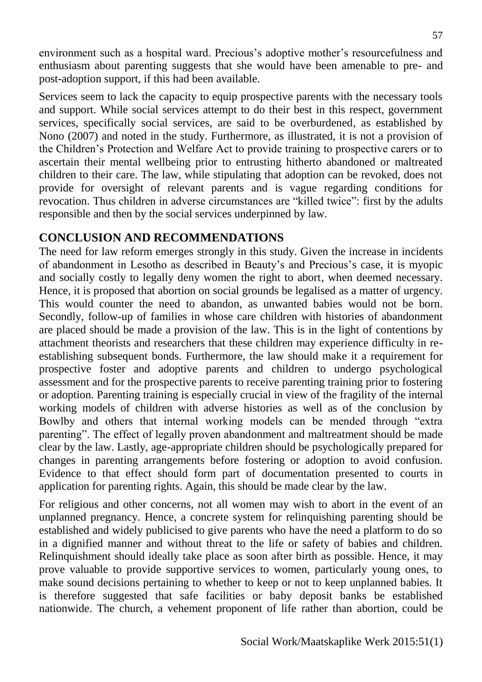environment such as a hospital ward. Precious's adoptive mother's resourcefulness and enthusiasm about parenting suggests that she would have been amenable to pre- and post-adoption support, if this had been available.

Services seem to lack the capacity to equip prospective parents with the necessary tools and support. While social services attempt to do their best in this respect, government services, specifically social services, are said to be overburdened, as established by Nono (2007) and noted in the study. Furthermore, as illustrated, it is not a provision of the Children's Protection and Welfare Act to provide training to prospective carers or to ascertain their mental wellbeing prior to entrusting hitherto abandoned or maltreated children to their care. The law, while stipulating that adoption can be revoked, does not provide for oversight of relevant parents and is vague regarding conditions for revocation. Thus children in adverse circumstances are "killed twice": first by the adults responsible and then by the social services underpinned by law.

## **CONCLUSION AND RECOMMENDATIONS**

The need for law reform emerges strongly in this study. Given the increase in incidents of abandonment in Lesotho as described in Beauty's and Precious's case, it is myopic and socially costly to legally deny women the right to abort, when deemed necessary. Hence, it is proposed that abortion on social grounds be legalised as a matter of urgency. This would counter the need to abandon, as unwanted babies would not be born. Secondly, follow-up of families in whose care children with histories of abandonment are placed should be made a provision of the law. This is in the light of contentions by attachment theorists and researchers that these children may experience difficulty in reestablishing subsequent bonds. Furthermore, the law should make it a requirement for prospective foster and adoptive parents and children to undergo psychological assessment and for the prospective parents to receive parenting training prior to fostering or adoption. Parenting training is especially crucial in view of the fragility of the internal working models of children with adverse histories as well as of the conclusion by Bowlby and others that internal working models can be mended through "extra parenting". The effect of legally proven abandonment and maltreatment should be made clear by the law. Lastly, age-appropriate children should be psychologically prepared for changes in parenting arrangements before fostering or adoption to avoid confusion. Evidence to that effect should form part of documentation presented to courts in application for parenting rights. Again, this should be made clear by the law.

For religious and other concerns, not all women may wish to abort in the event of an unplanned pregnancy. Hence, a concrete system for relinquishing parenting should be established and widely publicised to give parents who have the need a platform to do so in a dignified manner and without threat to the life or safety of babies and children. Relinquishment should ideally take place as soon after birth as possible. Hence, it may prove valuable to provide supportive services to women, particularly young ones, to make sound decisions pertaining to whether to keep or not to keep unplanned babies. It is therefore suggested that safe facilities or baby deposit banks be established nationwide. The church, a vehement proponent of life rather than abortion, could be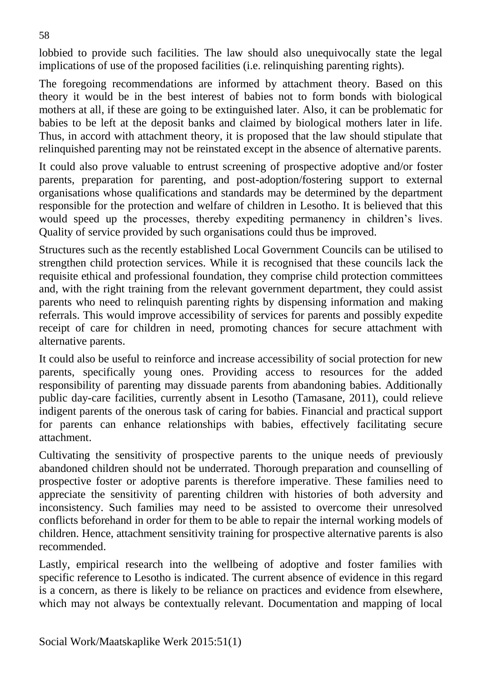lobbied to provide such facilities. The law should also unequivocally state the legal implications of use of the proposed facilities (i.e. relinquishing parenting rights).

The foregoing recommendations are informed by attachment theory. Based on this theory it would be in the best interest of babies not to form bonds with biological mothers at all, if these are going to be extinguished later. Also, it can be problematic for babies to be left at the deposit banks and claimed by biological mothers later in life. Thus, in accord with attachment theory, it is proposed that the law should stipulate that relinquished parenting may not be reinstated except in the absence of alternative parents.

It could also prove valuable to entrust screening of prospective adoptive and/or foster parents, preparation for parenting, and post-adoption/fostering support to external organisations whose qualifications and standards may be determined by the department responsible for the protection and welfare of children in Lesotho. It is believed that this would speed up the processes, thereby expediting permanency in children's lives. Quality of service provided by such organisations could thus be improved.

Structures such as the recently established Local Government Councils can be utilised to strengthen child protection services. While it is recognised that these councils lack the requisite ethical and professional foundation, they comprise child protection committees and, with the right training from the relevant government department, they could assist parents who need to relinquish parenting rights by dispensing information and making referrals. This would improve accessibility of services for parents and possibly expedite receipt of care for children in need, promoting chances for secure attachment with alternative parents.

It could also be useful to reinforce and increase accessibility of social protection for new parents, specifically young ones. Providing access to resources for the added responsibility of parenting may dissuade parents from abandoning babies. Additionally public day-care facilities, currently absent in Lesotho (Tamasane, 2011), could relieve indigent parents of the onerous task of caring for babies. Financial and practical support for parents can enhance relationships with babies, effectively facilitating secure attachment.

Cultivating the sensitivity of prospective parents to the unique needs of previously abandoned children should not be underrated. Thorough preparation and counselling of prospective foster or adoptive parents is therefore imperative. These families need to appreciate the sensitivity of parenting children with histories of both adversity and inconsistency. Such families may need to be assisted to overcome their unresolved conflicts beforehand in order for them to be able to repair the internal working models of children. Hence, attachment sensitivity training for prospective alternative parents is also recommended.

Lastly, empirical research into the wellbeing of adoptive and foster families with specific reference to Lesotho is indicated. The current absence of evidence in this regard is a concern, as there is likely to be reliance on practices and evidence from elsewhere, which may not always be contextually relevant. Documentation and mapping of local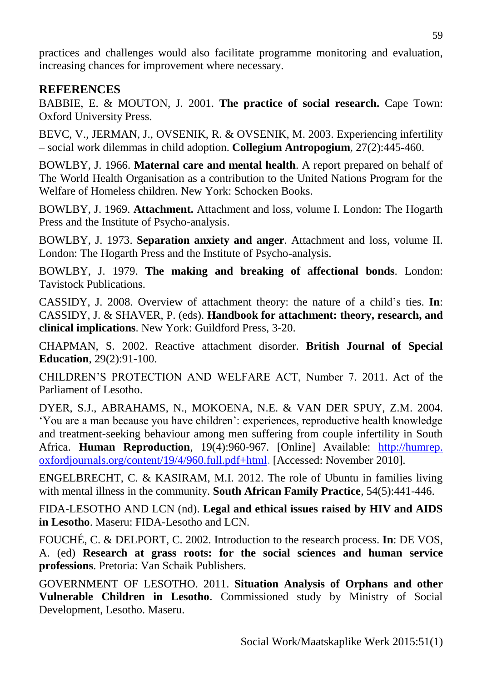practices and challenges would also facilitate programme monitoring and evaluation, increasing chances for improvement where necessary.

### **REFERENCES**

BABBIE, E. & MOUTON, J. 2001. **The practice of social research.** Cape Town: Oxford University Press.

BEVC, V., JERMAN, J., OVSENIK, R. & OVSENIK, M. 2003. Experiencing infertility – social work dilemmas in child adoption. **Collegium Antropogium**, 27(2):445-460.

BOWLBY, J. 1966. **Maternal care and mental health**. A report prepared on behalf of The World Health Organisation as a contribution to the United Nations Program for the Welfare of Homeless children. New York: Schocken Books.

BOWLBY, J. 1969. **Attachment.** Attachment and loss, volume I. London: The Hogarth Press and the Institute of Psycho-analysis.

BOWLBY, J. 1973. **Separation anxiety and anger**. Attachment and loss, volume II. London: The Hogarth Press and the Institute of Psycho-analysis.

BOWLBY, J. 1979. **The making and breaking of affectional bonds**. London: Tavistock Publications.

CASSIDY, J. 2008. Overview of attachment theory: the nature of a child's ties. **In**: CASSIDY, J. & SHAVER, P. (eds). **Handbook for attachment: theory, research, and clinical implications**. New York: Guildford Press, 3-20.

CHAPMAN, S. 2002. Reactive attachment disorder. **British Journal of Special Education**, 29(2):91-100.

CHILDREN'S PROTECTION AND WELFARE ACT, Number 7. 2011. Act of the Parliament of Lesotho.

DYER, S.J., ABRAHAMS, N., MOKOENA, N.E. & VAN DER SPUY, Z.M. 2004. 'You are a man because you have children': experiences, reproductive health knowledge and treatment-seeking behaviour among men suffering from couple infertility in South Africa. **Human Reproduction**, 19(4):960-967. [Online] Available: http://humrep. oxfordjournals.org/content/19/4/960.full.pdf+html. [Accessed: November 2010].

ENGELBRECHT, C. & KASIRAM, M.I. 2012. The role of Ubuntu in families living with mental illness in the community. **South African Family Practice**, 54(5):441-446.

FIDA-LESOTHO AND LCN (nd). **Legal and ethical issues raised by HIV and AIDS in Lesotho**. Maseru: FIDA-Lesotho and LCN.

FOUCHÉ, C. & DELPORT, C. 2002. Introduction to the research process. **In**: DE VOS, A. (ed) **Research at grass roots: for the social sciences and human service professions**. Pretoria: Van Schaik Publishers.

GOVERNMENT OF LESOTHO. 2011. **Situation Analysis of Orphans and other Vulnerable Children in Lesotho**. Commissioned study by Ministry of Social Development, Lesotho. Maseru.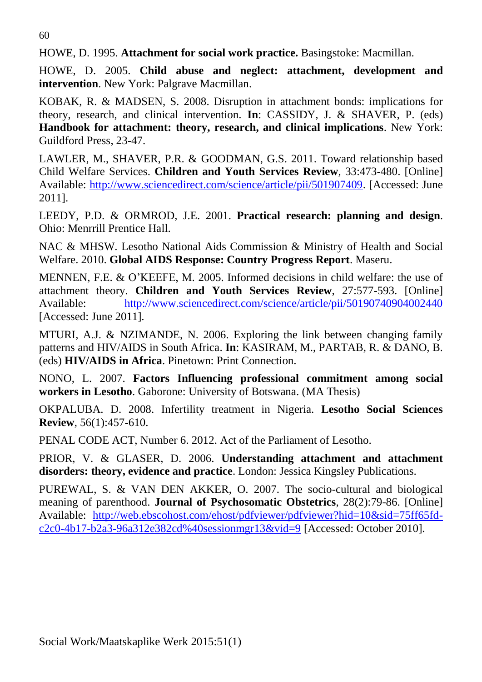60

HOWE, D. 1995. **Attachment for social work practice.** Basingstoke: Macmillan.

HOWE, D. 2005. **Child abuse and neglect: attachment, development and intervention**. New York: Palgrave Macmillan.

KOBAK, R. & MADSEN, S. 2008. Disruption in attachment bonds: implications for theory, research, and clinical intervention. **In**: CASSIDY, J. & SHAVER, P. (eds) **Handbook for attachment: theory, research, and clinical implications**. New York: Guildford Press, 23-47.

LAWLER, M., SHAVER, P.R. & GOODMAN, G.S. 2011. Toward relationship based Child Welfare Services. **Children and Youth Services Review**, 33:473-480. [Online] Available: [http://www.sciencedirect.com/science/article/pii/501907409.](http://www.sciencedirect.com/science/article/pii/501907409) [Accessed: June 2011].

LEEDY, P.D. & ORMROD, J.E. 2001. **Practical research: planning and design**. Ohio: Menrrill Prentice Hall.

NAC & MHSW. Lesotho National Aids Commission & Ministry of Health and Social Welfare. 2010. **Global AIDS Response: Country Progress Report**. Maseru.

MENNEN, F.E. & O'KEEFE, M. 2005. Informed decisions in child welfare: the use of attachment theory. **Children and Youth Services Review**, 27:577-593. [Online] Available: <http://www.sciencedirect.com/science/article/pii/50190740904002440> [Accessed: June 2011].

MTURI, A.J. & NZIMANDE, N. 2006. Exploring the link between changing family patterns and HIV/AIDS in South Africa. **In**: KASIRAM, M., PARTAB, R. & DANO, B. (eds) **HIV/AIDS in Africa**. Pinetown: Print Connection.

NONO, L. 2007. **Factors Influencing professional commitment among social workers in Lesotho**. Gaborone: University of Botswana. (MA Thesis)

OKPALUBA. D. 2008. Infertility treatment in Nigeria. **Lesotho Social Sciences Review**, 56(1):457-610.

PENAL CODE ACT, Number 6. 2012. Act of the Parliament of Lesotho.

PRIOR, V. & GLASER, D. 2006. **Understanding attachment and attachment disorders: theory, evidence and practice**. London: Jessica Kingsley Publications.

PUREWAL, S. & VAN DEN AKKER, O. 2007. The socio-cultural and biological meaning of parenthood. **Journal of Psychosomatic Obstetrics**, 28(2):79-86. [Online] Available: [http://web.ebscohost.com/ehost/pdfviewer/pdfviewer?hid=10&sid=75ff65fd](http://web.ebscohost.com/ehost/pdfviewer/pdfviewer?hid=10&sid=75ff65fd-c2c0-4b17-b2a3-96a312e382cd%40sessionmgr13&vid=9)[c2c0-4b17-b2a3-96a312e382cd%40sessionmgr13&vid=9](http://web.ebscohost.com/ehost/pdfviewer/pdfviewer?hid=10&sid=75ff65fd-c2c0-4b17-b2a3-96a312e382cd%40sessionmgr13&vid=9) [Accessed: October 2010].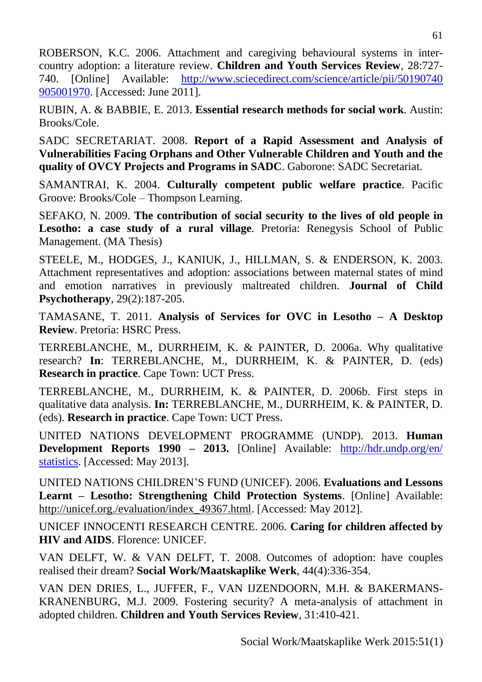ROBERSON, K.C. 2006. Attachment and caregiving behavioural systems in intercountry adoption: a literature review. **Children and Youth Services Review**, 28:727- 740. [Online] Available: [http://www.sciecedirect.com/science/article/pii/50190740](http://www.sciecedirect.com/science/article/pii/50190740%20905001970)  [905001970.](http://www.sciecedirect.com/science/article/pii/50190740%20905001970) [Accessed: June 2011].

RUBIN, A. & BABBIE, E. 2013. **Essential research methods for social work**. Austin: Brooks/Cole.

SADC SECRETARIAT. 2008. **Report of a Rapid Assessment and Analysis of Vulnerabilities Facing Orphans and Other Vulnerable Children and Youth and the quality of OVCY Projects and Programs in SADC**. Gaborone: SADC Secretariat.

SAMANTRAI, K. 2004. **Culturally competent public welfare practice**. Pacific Groove: Brooks/Cole – Thompson Learning.

SEFAKO, N. 2009. **The contribution of social security to the lives of old people in Lesotho: a case study of a rural village**. Pretoria: Renegysis School of Public Management. (MA Thesis)

STEELE, M., HODGES, J., KANIUK, J., HILLMAN, S. & ENDERSON, K. 2003. Attachment representatives and adoption: associations between maternal states of mind and emotion narratives in previously maltreated children. **Journal of Child Psychotherapy**, 29(2):187-205.

TAMASANE, T. 2011. **Analysis of Services for OVC in Lesotho – A Desktop Review**. Pretoria: HSRC Press.

TERREBLANCHE, M., DURRHEIM, K. & PAINTER, D. 2006a. Why qualitative research? **In**: TERREBLANCHE, M., DURRHEIM, K. & PAINTER, D. (eds) **Research in practice**. Cape Town: UCT Press.

TERREBLANCHE, M., DURRHEIM, K. & PAINTER, D. 2006b. First steps in qualitative data analysis. **In:** TERREBLANCHE, M., DURRHEIM, K. & PAINTER, D. (eds). **Research in practice**. Cape Town: UCT Press.

UNITED NATIONS DEVELOPMENT PROGRAMME (UNDP). 2013. **Human Development Reports 1990 – 2013.** [Online] Available: [http://hdr.undp.org/en/](http://hdr.undp.org/en/%20statistics)  [statistics.](http://hdr.undp.org/en/%20statistics) [Accessed: May 2013].

UNITED NATIONS CHILDREN'S FUND (UNICEF). 2006. **Evaluations and Lessons Learnt – Lesotho: Strengthening Child Protection Systems**. [Online] Available: http://unicef.org./evaluation/index\_49367.html. [Accessed: May 2012].

UNICEF INNOCENTI RESEARCH CENTRE. 2006. **Caring for children affected by HIV and AIDS**. Florence: UNICEF.

VAN DELFT, W. & VAN DELFT, T. 2008. Outcomes of adoption: have couples realised their dream? **Social Work/Maatskaplike Werk**, 44(4):336-354.

VAN DEN DRIES, L., JUFFER, F., VAN IJZENDOORN, M.H. & BAKERMANS-KRANENBURG, M.J. 2009. Fostering security? A meta-analysis of attachment in adopted children. **Children and Youth Services Review**, 31:410-421.